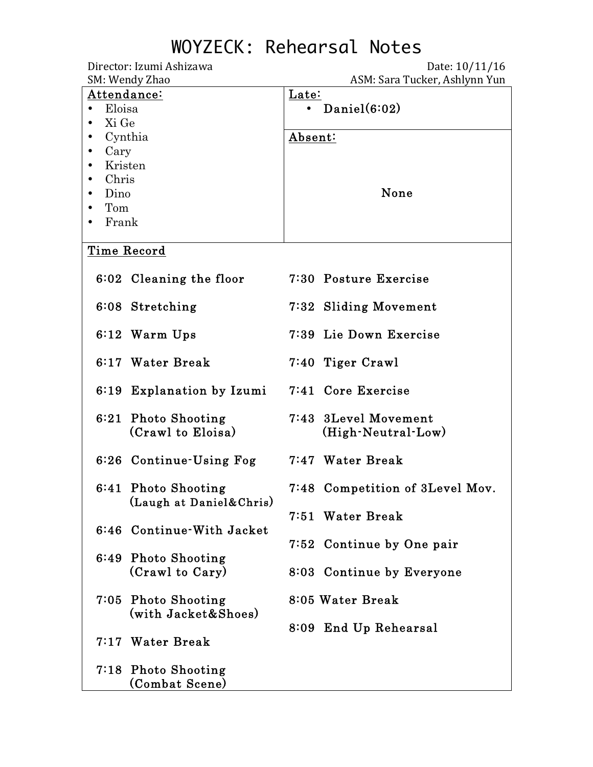Director: Izumi Ashizawa Date: 10/11/16

| SM: Wendy Zhao            | ASM: Sara Tucker, Ashlynn Yun   |  |  |
|---------------------------|---------------------------------|--|--|
| Attendance:               | Late:                           |  |  |
| Eloisa<br>$\bullet$       | Daniel $(6:02)$<br>$\bullet$    |  |  |
| Xi Ge                     |                                 |  |  |
| Cynthia                   | Absent:                         |  |  |
| Cary                      |                                 |  |  |
|                           |                                 |  |  |
| Kristen                   |                                 |  |  |
| Chris                     | None                            |  |  |
| Dino                      |                                 |  |  |
| Tom                       |                                 |  |  |
| Frank                     |                                 |  |  |
|                           |                                 |  |  |
| Time Record               |                                 |  |  |
|                           |                                 |  |  |
| 6:02 Cleaning the floor   | 7:30 Posture Exercise           |  |  |
|                           |                                 |  |  |
| 6:08 Stretching           | 7:32 Sliding Movement           |  |  |
|                           |                                 |  |  |
| 6:12 Warm Ups             | 7:39 Lie Down Exercise          |  |  |
|                           |                                 |  |  |
|                           |                                 |  |  |
| 6:17 Water Break          | 7:40 Tiger Crawl                |  |  |
|                           |                                 |  |  |
| 6:19 Explanation by Izumi | 7:41 Core Exercise              |  |  |
|                           |                                 |  |  |
| 6:21 Photo Shooting       | 7:43 3Level Movement            |  |  |
| (Crawl to Eloisa)         | (High-Neutral-Low)              |  |  |
|                           |                                 |  |  |
| 6:26 Continue-Using Fog   | 7:47 Water Break                |  |  |
|                           |                                 |  |  |
|                           |                                 |  |  |
| 6:41 Photo Shooting       | 7:48 Competition of 3Level Mov. |  |  |
| (Laugh at Daniel&Chris)   |                                 |  |  |
|                           | 7:51 Water Break                |  |  |
| 6:46 Continue-With Jacket |                                 |  |  |
|                           | 7:52 Continue by One pair       |  |  |
| 6:49 Photo Shooting       |                                 |  |  |
| (Crawl to Cary)           | 8:03 Continue by Everyone       |  |  |
|                           |                                 |  |  |
|                           |                                 |  |  |
| 7:05 Photo Shooting       | 8:05 Water Break                |  |  |
| (with Jacket&Shoes)       |                                 |  |  |
|                           | 8:09 End Up Rehearsal           |  |  |
| 7:17 Water Break          |                                 |  |  |
|                           |                                 |  |  |
| 7:18 Photo Shooting       |                                 |  |  |
| (Combat Scene)            |                                 |  |  |
|                           |                                 |  |  |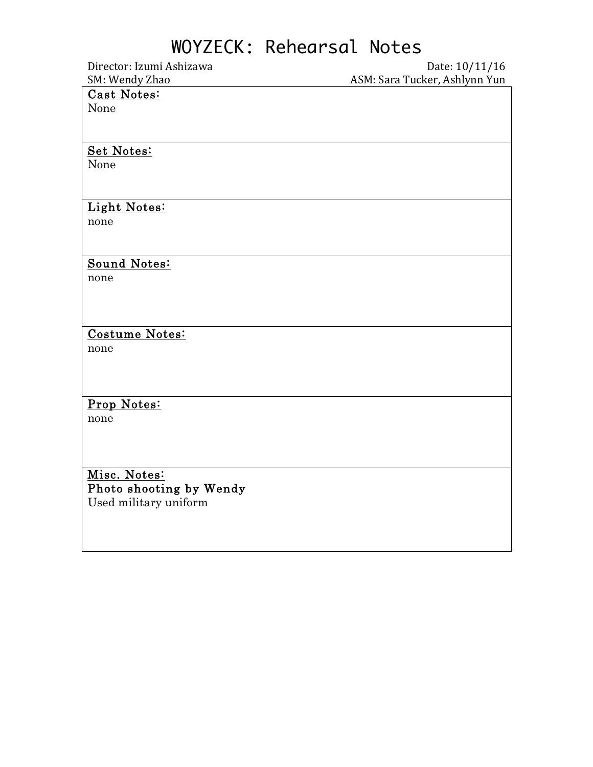Director: Izumi Ashizawa Date: 10/11/16 ASM: Sara Tucker, Ashlynn Yun

#### Cast Notes:

None

#### Set Notes:

None

#### Light Notes:

none

#### Sound Notes:

none

#### Costume Notes:

none

#### Prop Notes:

none

#### Misc. Notes: Photo shooting by Wendy Used military uniform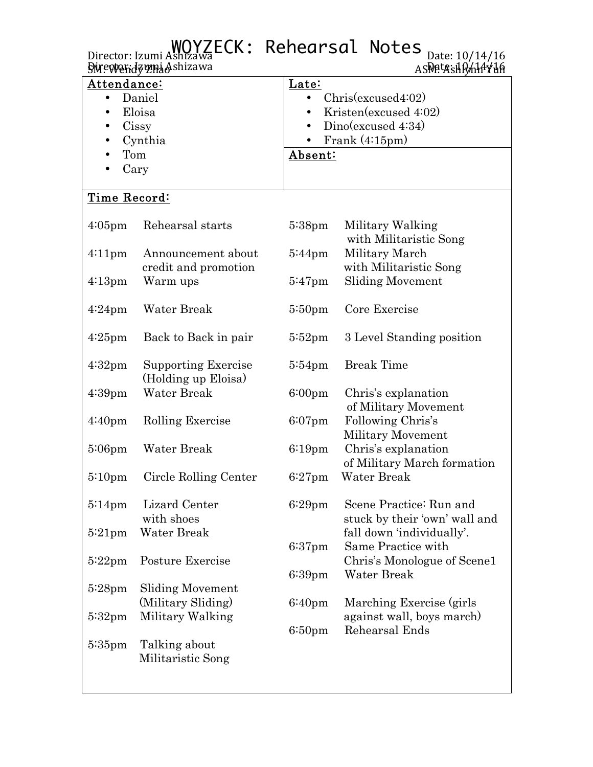|                                                                                 | Director: Izumi Ashizawa ECK: Rehearsal Notes<br><b>Swewerdzyni Ashizawa</b> |                    | Date: 10/14/16<br>ASPAtAsHR/HAYHA                                                                |  |
|---------------------------------------------------------------------------------|------------------------------------------------------------------------------|--------------------|--------------------------------------------------------------------------------------------------|--|
| Attendance:<br>Daniel<br>$\bullet$<br>Eloisa<br>Cissy<br>Cynthia<br>Tom<br>Cary |                                                                              | Late:              | Christexcused4:02)<br>Kristen(excused 4:02)<br>Dino(excused 4:34)<br>Frank $(4:15pm)$<br>Absent: |  |
| Time Record:                                                                    |                                                                              |                    |                                                                                                  |  |
| $4:05$ pm                                                                       | Rehearsal starts                                                             | $5:38 \text{pm}$   | Military Walking<br>with Militaristic Song                                                       |  |
| $4:11 \text{pm}$                                                                | Announcement about<br>credit and promotion                                   | $5:44 \text{pm}$   | Military March<br>with Militaristic Song                                                         |  |
| $4:13 \text{pm}$                                                                | Warm ups                                                                     | $5:47$ pm          | <b>Sliding Movement</b>                                                                          |  |
| $4:24$ pm                                                                       | Water Break                                                                  | $5:50$ pm          | Core Exercise                                                                                    |  |
| $4:25$ pm                                                                       | Back to Back in pair                                                         | $5:52$ pm          | 3 Level Standing position                                                                        |  |
| $4:32 \text{pm}$                                                                | <b>Supporting Exercise</b><br>(Holding up Eloisa)                            | $5:54$ pm          | <b>Break Time</b>                                                                                |  |
| $4:39$ pm                                                                       | Water Break                                                                  | 6:00 <sub>pm</sub> | Chris's explanation<br>of Military Movement                                                      |  |
| 4:40 <sub>pm</sub>                                                              | Rolling Exercise                                                             | $6:07$ pm          | Following Chris's<br><b>Military Movement</b>                                                    |  |
| $5:06$ pm                                                                       | Water Break                                                                  | $6:19$ pm          | Chris's explanation<br>of Military March formation                                               |  |
|                                                                                 | 5:10pm Circle Rolling Center                                                 | $6:27$ pm          | Water Break                                                                                      |  |
| $5:14 \text{pm}$                                                                | Lizard Center<br>with shoes                                                  | $6:29$ pm          | Scene Practice: Run and<br>stuck by their 'own' wall and                                         |  |
| $5:21$ pm                                                                       | Water Break                                                                  | $6:37$ pm          | fall down 'individually'.<br>Same Practice with                                                  |  |
| $5:22$ pm                                                                       | Posture Exercise                                                             | $6:39$ pm          | Chris's Monologue of Scene1<br>Water Break                                                       |  |
| $5:28 \text{pm}$                                                                | <b>Sliding Movement</b><br>(Military Sliding)                                | 6:40 <sub>pm</sub> | Marching Exercise (girls)                                                                        |  |
| $5:32 \text{pm}$                                                                | Military Walking                                                             | 6:50 <sub>pm</sub> | against wall, boys march)<br>Rehearsal Ends                                                      |  |
| $5:35$ pm                                                                       | Talking about<br>Militaristic Song                                           |                    |                                                                                                  |  |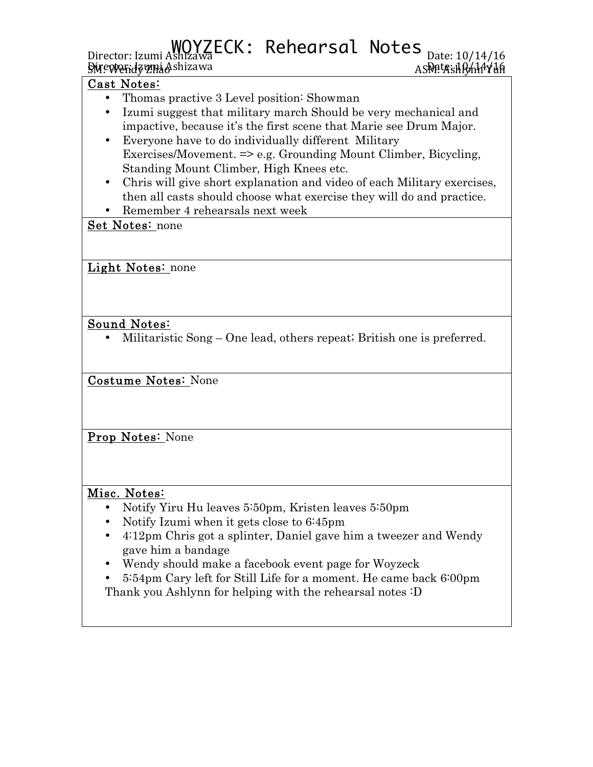# Director: Izumi Ashizawa CCK: Rehearsal Notes <sub>Date: 10/14/16</sub>

Director: Izumi Ashizawa Date: 10/14/16 SM: Wendy Zhao ASM: Ashlynn Yun

#### Cast Notes:

- Thomas practive 3 Level position: Showman
- Izumi suggest that military march Should be very mechanical and impactive, because it's the first scene that Marie see Drum Major.
- Everyone have to do individually different Military Exercises/Movement. => e.g. Grounding Mount Climber, Bicycling, Standing Mount Climber, High Knees etc.
- Chris will give short explanation and video of each Military exercises, then all casts should choose what exercise they will do and practice.
- Remember 4 rehearsals next week

#### Set Notes: none

Light Notes: none

#### Sound Notes:

• Militaristic Song – One lead, others repeat; British one is preferred.

Costume Notes: None

Prop Notes: None

#### Misc. Notes:

- Notify Yiru Hu leaves 5:50pm, Kristen leaves 5:50pm
- Notify Izumi when it gets close to 6:45pm
- 4:12pm Chris got a splinter, Daniel gave him a tweezer and Wendy gave him a bandage
- Wendy should make a facebook event page for Woyzeck
- 5:54pm Cary left for Still Life for a moment. He came back 6:00pm Thank you Ashlynn for helping with the rehearsal notes :D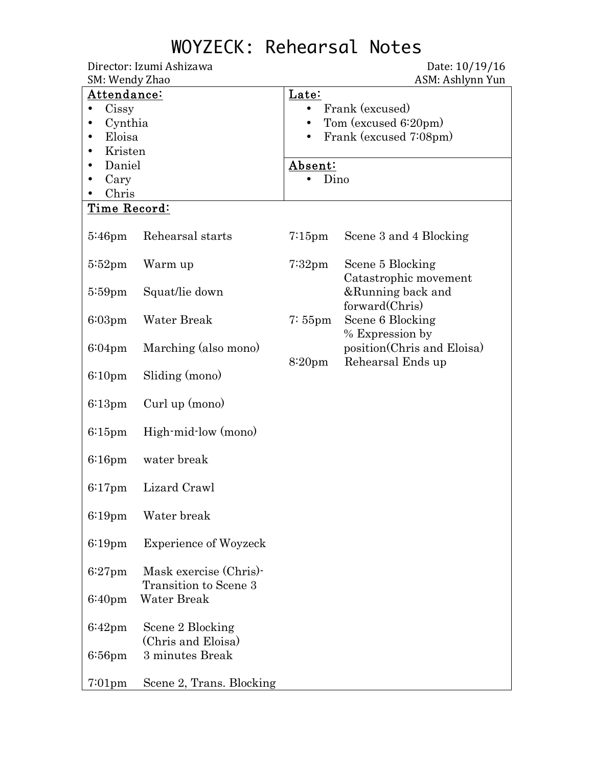Director: Izumi Ashizawa **Director:** Izumi Ashizawa SM: Wendy Zhao ASM: Ashlynn Yun Attendance: • Cissy • Cynthia • Eloisa • Kristen • Daniel • Cary • Chris Late: • Frank (excused) • Tom (excused 6:20pm) • Frank (excused 7:08pm) Absent: • Dino Time Record: 5:46pm Rehearsal starts 5:52pm Warm up 5:59pm Squat/lie down 6:03pm Water Break 6:04pm Marching (also mono) 6:10pm Sliding (mono) 6:13pm Curl up (mono) 6:15pm High-mid-low (mono) 6:16pm water break 6:17pm Lizard Crawl 6:19pm Water break 6:19pm Experience of Woyzeck 6:27pm Mask exercise (Chris)- Transition to Scene 3 6:40pm Water Break 6:42pm Scene 2 Blocking (Chris and Eloisa) 6:56pm 3 minutes Break 7:01pm Scene 2, Trans. Blocking 7:15pm Scene 3 and 4 Blocking 7:32pm Scene 5 Blocking Catastrophic movement &Running back and forward(Chris) 7: 55pm Scene 6 Blocking % Expression by position(Chris and Eloisa) 8:20pm Rehearsal Ends up